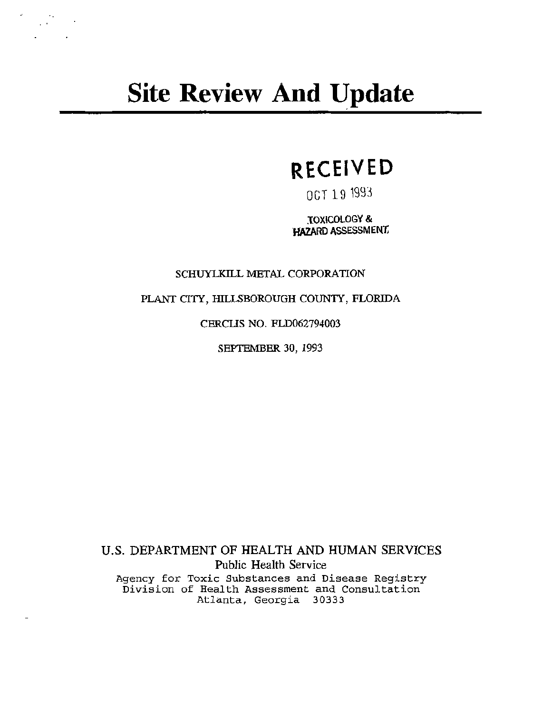# **Site Review And Update**

 $\frac{1}{2}\sum_{i=1}^{N} \frac{1}{2} \sum_{j=1}^{N} \frac{1}{2} \sum_{j=1}^{N} \frac{1}{2} \sum_{j=1}^{N} \frac{1}{2} \sum_{j=1}^{N} \frac{1}{2} \sum_{j=1}^{N} \frac{1}{2} \sum_{j=1}^{N} \frac{1}{2} \sum_{j=1}^{N} \frac{1}{2} \sum_{j=1}^{N} \frac{1}{2} \sum_{j=1}^{N} \frac{1}{2} \sum_{j=1}^{N} \frac{1}{2} \sum_{j=1}^{N} \frac{1}{2} \sum_{j=1}^{N}$ 

## **RECEIVED**

06T 19 1993

TOXICOLOGY & HAZARD ASSESSMENt

SCHUYLKILL METAL CORPORATION

PLANT CITY, HILLSBOROUGH COUNTY, FLORIDA

CERCLIS NO. FLD062794003

SEPTEMBER 30, 1993

U.S. DEPARTMENT OF HEALTH AND HUMAN SERVICES Public Health Service Agency for Toxic Substances and Disease Registry Division of Health Assessment and Consultation Atlanta, Georgia 30333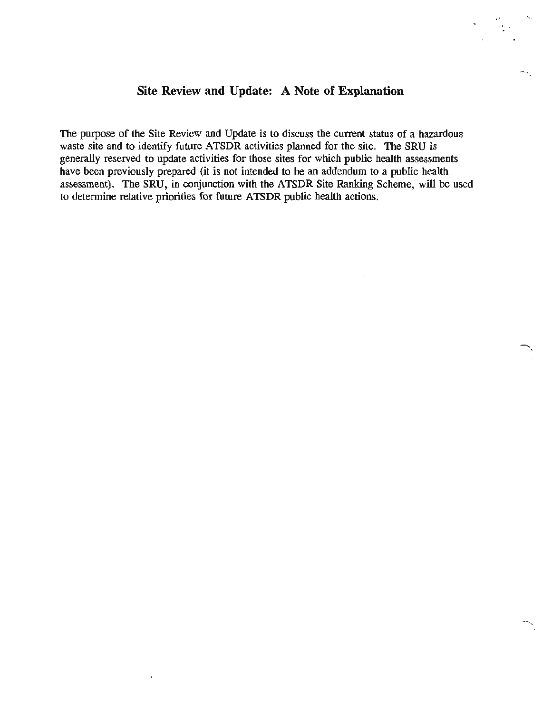#### **Site Review and Update: A Note of Explanation**

*.t* ..... . .

 $\mathbb{R}$ 

The purpose of the Site Review and Update is to discuss the current status of a hazardous waste site and to identify future ATSDR activities planned for the site. The SRU is generally reserved to update activities for those sites for which public health assessments have been previously prepared (it is not intended to be an addendum to a public health assessment). The SRU, in conjunction with the ATSDR Site Ranking Scheme, will be used to determine relative priorities for future ATSDR public health actions.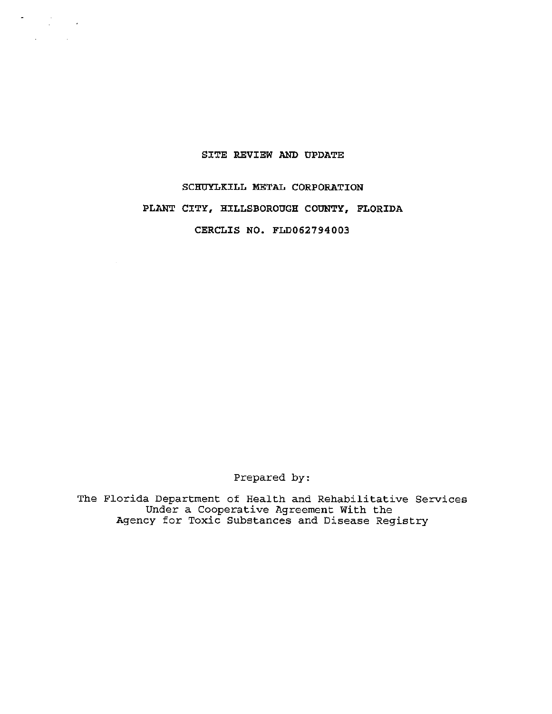#### SITE REVIEW AND UPDATE

 $\sigma_{\rm{eff}}=100$  km s  $^{-1}$  $\Delta \sim 10^{11}$  km s  $^{-1}$ 

 $\sim$ 

### SCHUYLKILL METAL CORPORATION PLANT CITY, HILLSBOROUGH COUNTY, FLORIDA CERCLIS NO. FLD062794003

Prepared by:

The Florida Department of Health and Rehabilitative Services Under a Cooperative Agreement With the Agency for Toxic Substances and Disease Registry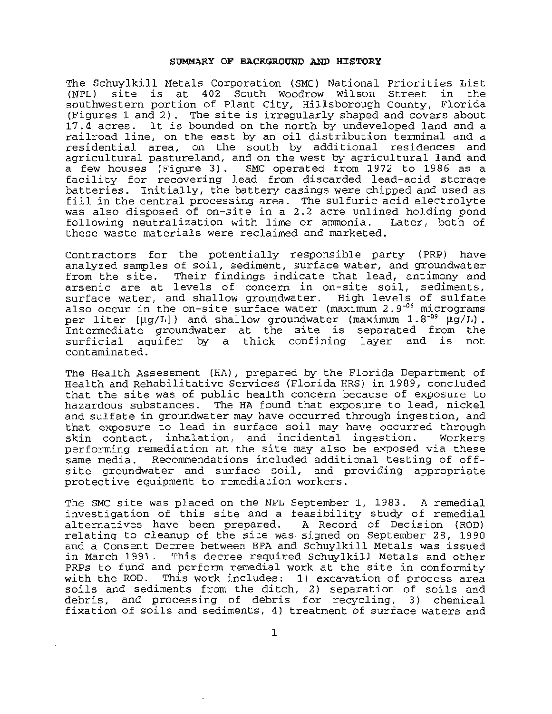#### SUMMARY OF BACKGROUND AND HISTORY

The Schuylkill Metals Corporation (SMC) National Priorities List site is at 402 South Woodrow Wilson Street in the southwestern portion of Plant City, Hillsborough County, Florida (Figures 1 and 2) . The site is irregularly shaped and covers about 17.4 acres. It is bounded on the north by undeveloped land and a railroad line, on the east by an oil distribution terminal and a residential area, on the south by additional residences and agricultural pastureland, and on the west by agricultural land and a few houses (Figure 3) . SMC operated from 1972 to 1986 as a facility for recovering lead from discarded lead-acid storage batteries. Initially, the battery casings were chipped and used as fill in the central processing area. The sulfuric acid electrolyte was also disposed of on-site in a 2.2 acre unlined holding pond<br>following neutralization with lime or ammonia. Later, both of following neutralization with lime or ammonia. these waste materials were reclaimed and marketed.

Contractors for the potentially responsible party (PRP) have analyzed samples of soil, sediment, surface water, and groundwater from the site. Their findings indicate that lead, antimony and arsenic are at levels of concern in on-site soil, sediments, surface water, and shallow groundwater. High levels of sulfate also occur in the on-site surface water (maximum 2.9-06 micrograms per liter  $[\mu g/L]$ ) and shallow groundwater (maximum 1.8<sup>-09</sup>  $\mu g/L$ ). Intermediate groundwater at the site is separated from the surficial aquifer by a thick confining layer and is not contaminated.

The Health Assessment (HA), prepared by the Florida Department of Health and Rehabilitative Services (Florida HRS) in 1989, concluded that the site was of public health concern because of exposure to hazardous substances. The HA found that exposure to lead, nickel and sulfate in groundwater may have occurred through ingestion, and that exposure to lead in surface soil may have occurred through skin contact, inhalation, and incidental ingestion. performing remediation at the site may also be exposed via these same media . Recommendations included additional testing of offsite groundwater and surface soil, and providing appropriate protective equipment to remediation workers.

The SMC site was placed on the NPL September 1, 1983. A remedial investigation of this site and a feasibility study of remedial<br>alternatives have been prepared. A Record of Decision (ROD) alternatives have been prepared. relating to cleanup of the site was. signed on September 28, 1990 and a Consent Decree between EPA and Schuylkill Metals was issued in March 1991. This decree required Schuylkill Metals and other PRPs to fund and perform remedial work at the site in conformity with the ROD. This work includes: 1) excavation of process area soils and sediments from the ditch, 2) separation of soils and debris, and processing of debris for recycling, 3) chemical fixation of soils and sediments, 4) treatment of surface waters and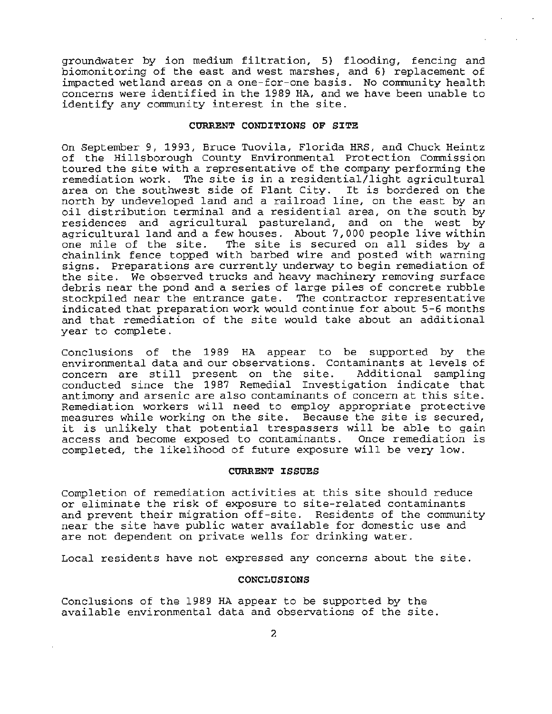groundwater by ion medium filtration, 5} flooding, fencing and biomonitoring of the east and west marshes, and 6} replacement of impacted wetland areas on a one-for-one basis. No community health concerns were identified in the 1989 HA, and we have been unable to identify any community interest in the site.

#### CURRENT CONDITIONS OF SITE

On September *9,* 1993, Bruce Tuovila, Florida HRS, and Chuck Heintz of the Hillsborough County Environmental Protection Commission toured the site with a representative of the company performing the remediation work. The site is in a residential/light agricultural area on the southwest side of Plant City. It is bordered on the north by undeveloped land and a railroad line, on the east by an oil distribution terminal and a residential area, on the south by residences and agricultural pastureland, and on the west by agricultural land and a few houses. About 7, 000 people live within agricultural rand and a rew houses. About 7,000 people live within<br>one mile of the site. The site is secured on all sides by a chainlink fence topped with barbed wire and posted with warning signs. Preparations are currently underway to begin remediation of the site. We observed trucks and heavy machinery removing surface debris near the pond and a series of large piles of concrete rubble stockpiled near the entrance gate. The contractor representative indicated that preparation work would continue for about 5-6 months and that remediation of the site would take about an additional year to complete .

Conclusions of the 1989 HA appear to be supported by the environmental data and our observations. Contaminants at levels of concern are still present on the site. Additional sampling conducted since the 1987 Remedial Investigation indicate that antimony and arsenic are also contaminants of concern at this site. Remediation workers will need to employ appropriate protective measures while working on the site. Because the site is secured, it is unlikely that potential trespassers will be able to gain access and become exposed to contaminants. Once remediation is completed, the likelihood of future exposure will be very low.

#### CURRENT ISSUES

Completion of remediation activities at this site should reduce or eliminate the risk of exposure to site-related contaminants and prevent their migration off-site. Residents of the community near the site have public water available for domestic use and are not dependent on private wells for drinking water.

Local residents have not expressed any concerns about the site.

#### CONCLUSIONS

Conclusions of the 1989 HA appear to be supported by the available environmental data and observations of the site.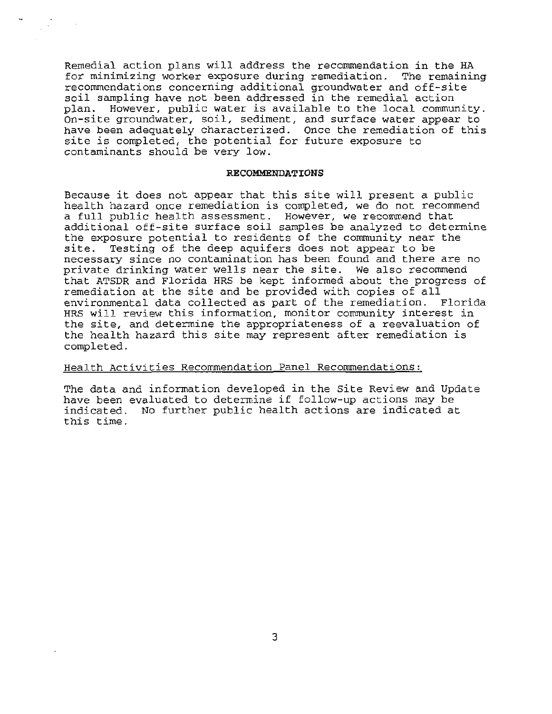Remedial action plans will address the recommendation in the HA for minimizing worker exposure during remediation. The remaining recommendations concerning additional groundwater and off-site soil sampling have not been addressed in the remedial action plan. However, public water is available to the local community. On-site groundwater, soil, sediment, and surface water appear to have been adequately characterized. Once the remediation of this site is completed, the potential for future exposure to contaminants should be very low.

#### **RECOMMENDATIONS**

Because it does not appear that this site will present a public health hazard once remediation is completed, we do not recommend a full public health assessment. However, we recommend that additional off-site surface soil samples be analyzed to determine the exposure potential to residents of the community near the<br>site. Testing of the deep aguifers does not appear to be Testing of the deep aquifers does not appear to be necessary since no contamination has been found and there are no private drinking water wells near the site. We also recommend that ATSDR and Florida HRS be kept informed about the progress of remediation at the site and be provided with copies of all environmental data collected as part of the remediation. Florida HRS will review this information, monitor community interest in the site, and determine the appropriateness of a reevaluation of the health hazard this site may represent after remediation is completed.

#### Health Activities Recommendation Panel Recommendations:

The data and information developed in the Site Review and Update have been evaluated to determine if follow-up actions may be indicated. No further public health actions are indicated at this time.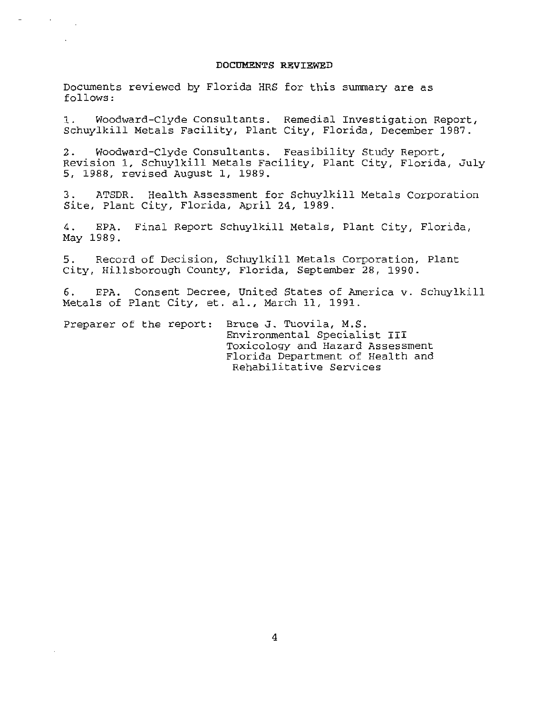#### **DOCUMENTS REVIEWED**

Documents reviewed by Florida HRS for this summary are as follows :

1. Woodward-Clyde Consultants. Remedial Investigation Report, Schuylkill Metals Facility, Plant City, Florida, December 1987 .

2. Woodward-Clyde Consultants. Feasibility Study Report, Revision 1, Schuylkill Metals Facility, Plant City, Florida, July 5, 1988, revised August 1, 1989.

3 . ATSDR. Health Assessment for Schuylkill Metals Corporation Site, Plant City, Florida, April 24, 1989.

4. EPA. Final Report Schuylkill Metals, Plant City, Florida, May 1989.

5. Record of Decision, Schuylkill Metals Corporation, Plant City, Hillsborough County, Florida, September 28, 1990 .

6. EPA. Consent Decree, United States of America v. Schuylkill Metals of Plant City, et. al., March 11, 1991.

Preparer of the report: Bruce J. Tuovila, M.S. Environmental Specialist III Toxicology and Hazard Assessment Florida Department of Health and Rehabilitative Services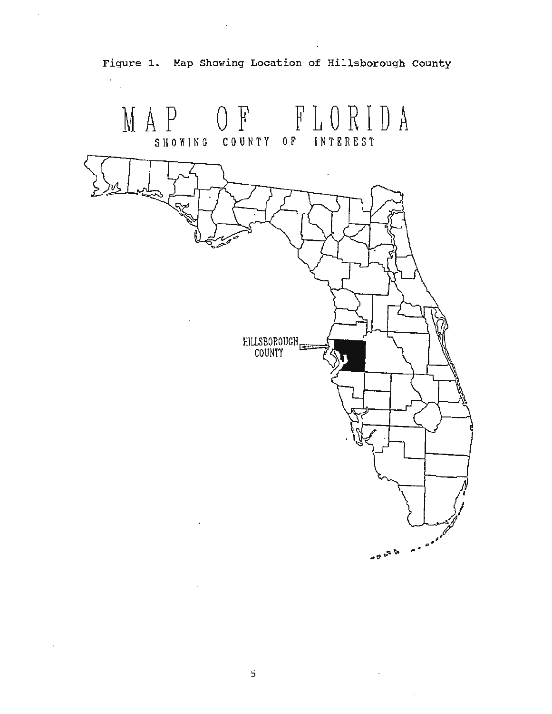

Figure 1. Map Showing Location of Hillsborough County

Ÿ.

 $\mathcal{A}$ 

J.

 $\sim$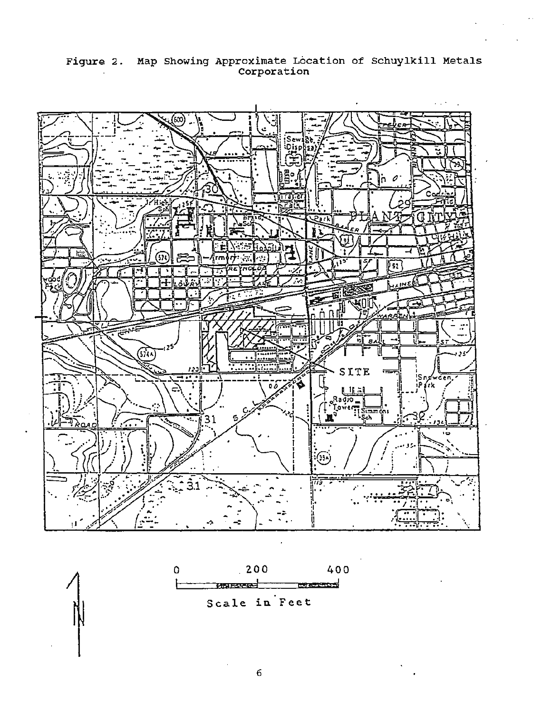

Figure 2. Map Showing Approximate Location of Schuylkill Metals<br>Corporation



 $6\overline{6}$